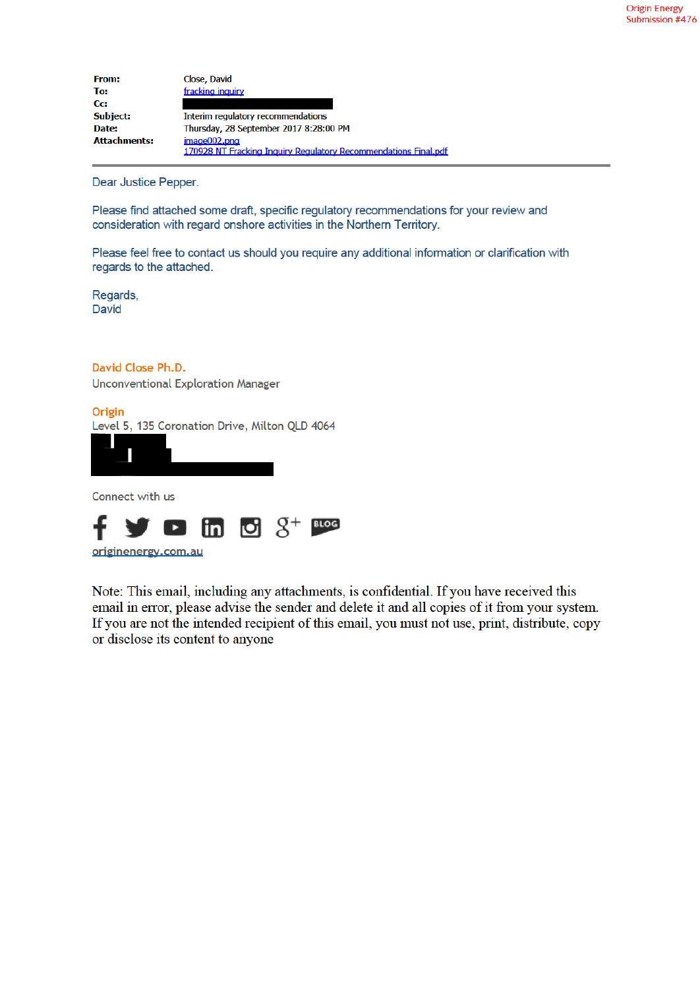| From:               | Close, David                                                    |
|---------------------|-----------------------------------------------------------------|
| To:                 | fracking inquiry                                                |
| Cc:                 |                                                                 |
| Subject:            | Interim regulatory recommendations                              |
| Date:               | Thursday, 28 September 2017 8:28:00 PM                          |
| <b>Attachments:</b> | $imace002.$ <sub>pnd</sub>                                      |
|                     | 170928 NT Fracking Inquiry Regulatory Recommendations Final.pdf |

Dear Justice Pepper.

Please find attached some draft, specific regulatory recommendations for your review and consideration with regard onshore activities in the Northern Territory.

Please feel free to contact us should you require any additional information or clarification with regards to the attached.

Regards, David

David Close Ph.D.

**Unconventional Exploration Manager** 

Origin Level 5, 135 Coronation Drive, Milton QLD 4064



Connect with us



Note: This email, including any attachments, is confidential. If you have received this email in error, please advise the sender and delete it and all copies of it from your system. If you are not the intended recipient of this email, you must not use, print, distribute, copy or disclose its content to anyone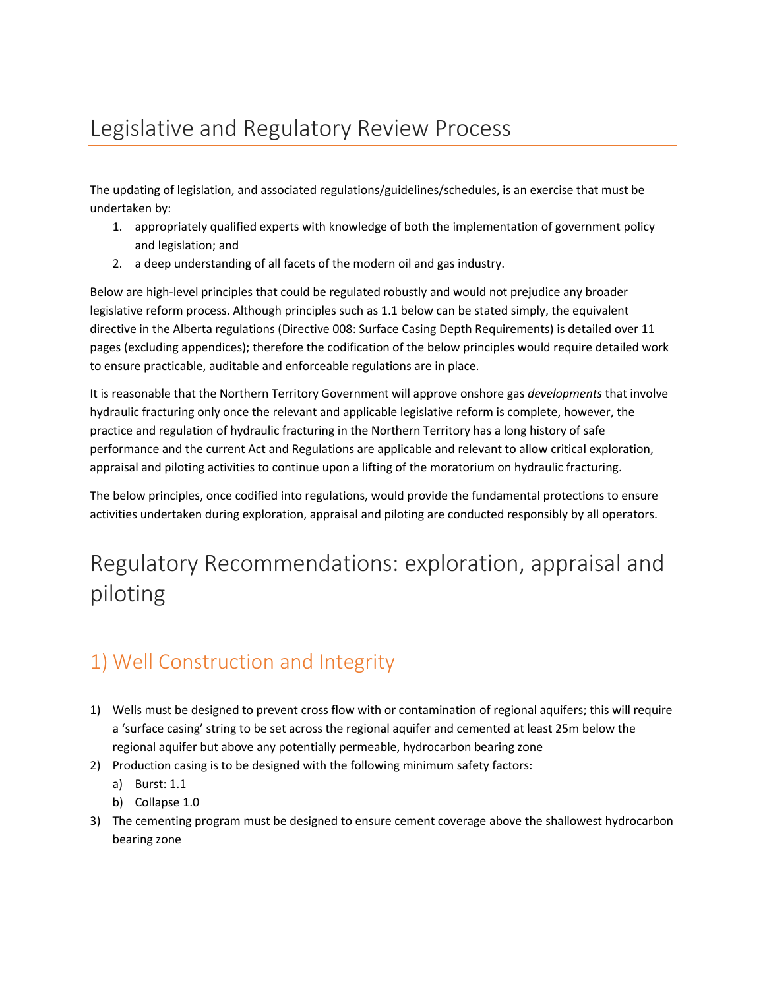# Legislative and Regulatory Review Process

The updating of legislation, and associated regulations/guidelines/schedules, is an exercise that must be undertaken by:

- 1. appropriately qualified experts with knowledge of both the implementation of government policy and legislation; and
- 2. a deep understanding of all facets of the modern oil and gas industry.

Below are high-level principles that could be regulated robustly and would not prejudice any broader legislative reform process. Although principles such as 1.1 below can be stated simply, the equivalent directive in the Alberta regulations (Directive 008: Surface Casing Depth Requirements) is detailed over 11 pages (excluding appendices); therefore the codification of the below principles would require detailed work to ensure practicable, auditable and enforceable regulations are in place.

It is reasonable that the Northern Territory Government will approve onshore gas *developments* that involve hydraulic fracturing only once the relevant and applicable legislative reform is complete, however, the practice and regulation of hydraulic fracturing in the Northern Territory has a long history of safe performance and the current Act and Regulations are applicable and relevant to allow critical exploration, appraisal and piloting activities to continue upon a lifting of the moratorium on hydraulic fracturing.

The below principles, once codified into regulations, would provide the fundamental protections to ensure activities undertaken during exploration, appraisal and piloting are conducted responsibly by all operators.

# Regulatory Recommendations: exploration, appraisal and piloting

## 1) Well Construction and Integrity

- 1) Wells must be designed to prevent cross flow with or contamination of regional aquifers; this will require a 'surface casing' string to be set across the regional aquifer and cemented at least 25m below the regional aquifer but above any potentially permeable, hydrocarbon bearing zone
- 2) Production casing is to be designed with the following minimum safety factors:
	- a) Burst: 1.1
	- b) Collapse 1.0
- 3) The cementing program must be designed to ensure cement coverage above the shallowest hydrocarbon bearing zone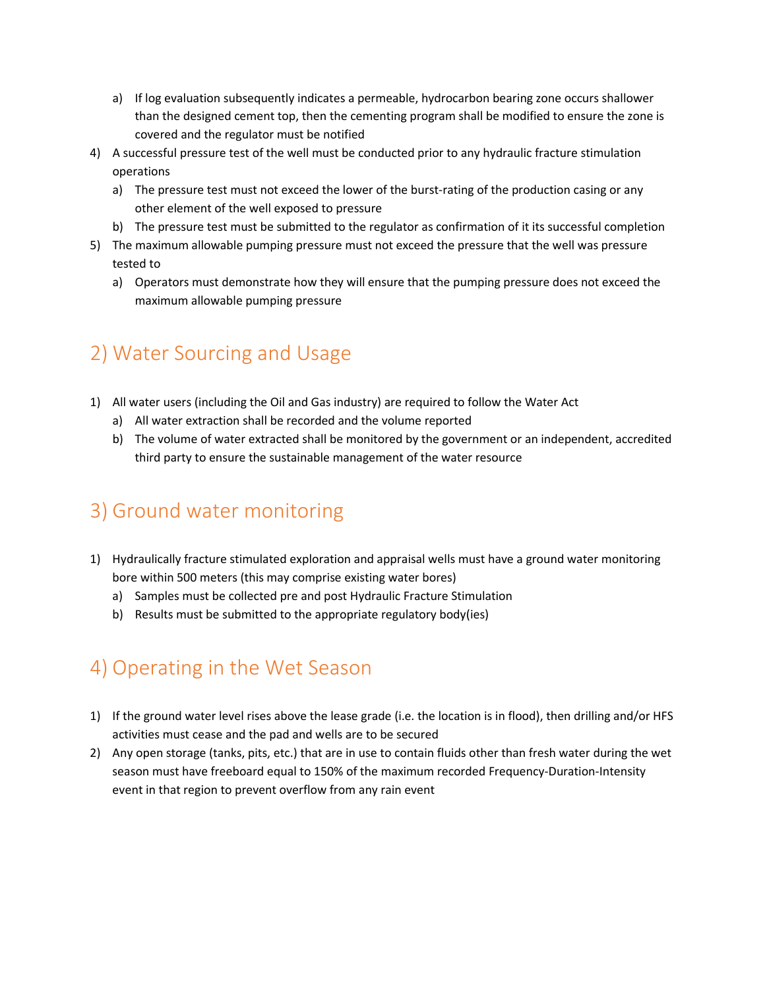- a) If log evaluation subsequently indicates a permeable, hydrocarbon bearing zone occurs shallower than the designed cement top, then the cementing program shall be modified to ensure the zone is covered and the regulator must be notified
- 4) A successful pressure test of the well must be conducted prior to any hydraulic fracture stimulation operations
	- a) The pressure test must not exceed the lower of the burst-rating of the production casing or any other element of the well exposed to pressure
	- b) The pressure test must be submitted to the regulator as confirmation of it its successful completion
- 5) The maximum allowable pumping pressure must not exceed the pressure that the well was pressure tested to
	- a) Operators must demonstrate how they will ensure that the pumping pressure does not exceed the maximum allowable pumping pressure

## 2) Water Sourcing and Usage

- 1) All water users (including the Oil and Gas industry) are required to follow the Water Act
	- a) All water extraction shall be recorded and the volume reported
	- b) The volume of water extracted shall be monitored by the government or an independent, accredited third party to ensure the sustainable management of the water resource

#### 3) Ground water monitoring

- 1) Hydraulically fracture stimulated exploration and appraisal wells must have a ground water monitoring bore within 500 meters (this may comprise existing water bores)
	- a) Samples must be collected pre and post Hydraulic Fracture Stimulation
	- b) Results must be submitted to the appropriate regulatory body(ies)

### 4) Operating in the Wet Season

- 1) If the ground water level rises above the lease grade (i.e. the location is in flood), then drilling and/or HFS activities must cease and the pad and wells are to be secured
- 2) Any open storage (tanks, pits, etc.) that are in use to contain fluids other than fresh water during the wet season must have freeboard equal to 150% of the maximum recorded Frequency-Duration-Intensity event in that region to prevent overflow from any rain event